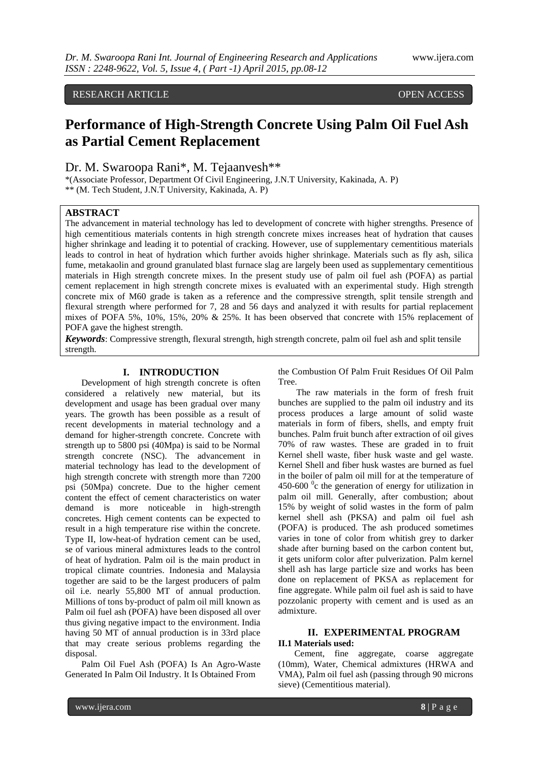# RESEARCH ARTICLE OPEN ACCESS

# **Performance of High-Strength Concrete Using Palm Oil Fuel Ash as Partial Cement Replacement**

Dr. M. Swaroopa Rani\*, M. Tejaanvesh\*\*

\*(Associate Professor, Department Of Civil Engineering, J.N.T University, Kakinada, A. P) \*\* (M. Tech Student, J.N.T University, Kakinada, A. P)

## **ABSTRACT**

The advancement in material technology has led to development of concrete with higher strengths. Presence of high cementitious materials contents in high strength concrete mixes increases heat of hydration that causes higher shrinkage and leading it to potential of cracking. However, use of supplementary cementitious materials leads to control in heat of hydration which further avoids higher shrinkage. Materials such as fly ash, silica fume, metakaolin and ground granulated blast furnace slag are largely been used as supplementary cementitious materials in High strength concrete mixes. In the present study use of palm oil fuel ash (POFA) as partial cement replacement in high strength concrete mixes is evaluated with an experimental study. High strength concrete mix of M60 grade is taken as a reference and the compressive strength, split tensile strength and flexural strength where performed for 7, 28 and 56 days and analyzed it with results for partial replacement mixes of POFA 5%, 10%, 15%, 20% & 25%. It has been observed that concrete with 15% replacement of POFA gave the highest strength.

*Keywords*: Compressive strength, flexural strength, high strength concrete, palm oil fuel ash and split tensile strength.

### **I. INTRODUCTION**

Development of high strength concrete is often considered a relatively new material, but its development and usage has been gradual over many years. The growth has been possible as a result of recent developments in material technology and a demand for higher-strength concrete. Concrete with strength up to 5800 psi (40Mpa) is said to be Normal strength concrete (NSC). The advancement in material technology has lead to the development of high strength concrete with strength more than 7200 psi (50Mpa) concrete. Due to the higher cement content the effect of cement characteristics on water demand is more noticeable in high-strength concretes. High cement contents can be expected to result in a high temperature rise within the concrete. Type II, low-heat-of hydration cement can be used, se of various mineral admixtures leads to the control of heat of hydration. Palm oil is the main product in tropical climate countries. Indonesia and Malaysia together are said to be the largest producers of palm oil i.e. nearly 55,800 MT of annual production. Millions of tons by-product of palm oil mill known as Palm oil fuel ash (POFA) have been disposed all over thus giving negative impact to the environment. India having 50 MT of annual production is in 33rd place that may create serious problems regarding the disposal.

Palm Oil Fuel Ash (POFA) Is An Agro-Waste Generated In Palm Oil Industry. It Is Obtained From

the Combustion Of Palm Fruit Residues Of Oil Palm Tree.

The raw materials in the form of fresh fruit bunches are supplied to the palm oil industry and its process produces a large amount of solid waste materials in form of fibers, shells, and empty fruit bunches. Palm fruit bunch after extraction of oil gives 70% of raw wastes. These are graded in to fruit Kernel shell waste, fiber husk waste and gel waste. Kernel Shell and fiber husk wastes are burned as fuel in the boiler of palm oil mill for at the temperature of 450-600 $\degree$ c the generation of energy for utilization in palm oil mill. Generally, after combustion; about 15% by weight of solid wastes in the form of palm kernel shell ash (PKSA) and palm oil fuel ash (POFA) is produced. The ash produced sometimes varies in tone of color from whitish grey to darker shade after burning based on the carbon content but, it gets uniform color after pulverization. Palm kernel shell ash has large particle size and works has been done on replacement of PKSA as replacement for fine aggregate. While palm oil fuel ash is said to have pozzolanic property with cement and is used as an admixture.

# **II. EXPERIMENTAL PROGRAM**

# **II.1 Materials used:**

Cement, fine aggregate, coarse aggregate (10mm), Water, Chemical admixtures (HRWA and VMA), Palm oil fuel ash (passing through 90 microns sieve) (Cementitious material).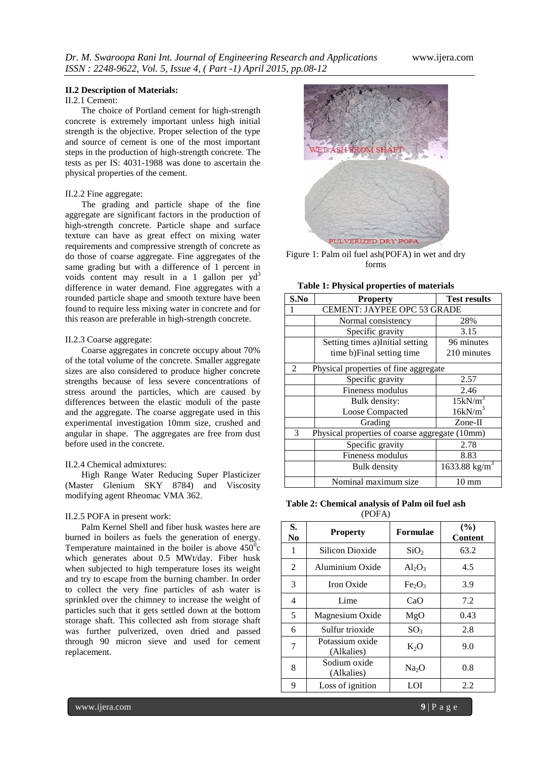#### **II.2 Description of Materials:**

#### II.2.1 Cement:

The choice of Portland cement for high-strength concrete is extremely important unless high initial strength is the objective. Proper selection of the type and source of cement is one of the most important steps in the production of high-strength concrete. The tests as per IS: 4031-1988 was done to ascertain the physical properties of the cement.

#### II.2.2 Fine aggregate:

The grading and particle shape of the fine aggregate are significant factors in the production of high-strength concrete. Particle shape and surface texture can have as great effect on mixing water requirements and compressive strength of concrete as do those of coarse aggregate. Fine aggregates of the same grading but with a difference of 1 percent in voids content may result in a 1 gallon per  $yd^3$ difference in water demand. Fine aggregates with a rounded particle shape and smooth texture have been found to require less mixing water in concrete and for this reason are preferable in high-strength concrete.

#### II.2.3 Coarse aggregate:

Coarse aggregates in concrete occupy about 70% of the total volume of the concrete. Smaller aggregate sizes are also considered to produce higher concrete strengths because of less severe concentrations of stress around the particles, which are caused by differences between the elastic moduli of the paste and the aggregate. The coarse aggregate used in this experimental investigation 10mm size, crushed and angular in shape. The aggregates are free from dust before used in the concrete.

#### II.2.4 Chemical admixtures:

High Range Water Reducing Super Plasticizer (Master Glenium SKY 8784) and Viscosity modifying agent Rheomac VMA 362.

#### II.2.5 POFA in present work:

Palm Kernel Shell and fiber husk wastes here are burned in boilers as fuels the generation of energy. Temperature maintained in the boiler is above  $450^{\circ}$ c which generates about 0.5 MWt/day. Fiber husk when subjected to high temperature loses its weight and try to escape from the burning chamber. In order to collect the very fine particles of ash water is sprinkled over the chimney to increase the weight of particles such that it gets settled down at the bottom storage shaft. This collected ash from storage shaft was further pulverized, oven dried and passed through 90 micron sieve and used for cement replacement.



Figure 1: Palm oil fuel ash(POFA) in wet and dry forms

| S.No | <b>Property</b>                                | <b>Test results</b>       |  |
|------|------------------------------------------------|---------------------------|--|
|      | CEMENT: JAYPEE OPC 53 GRADE                    |                           |  |
|      | Normal consistency                             | 28%                       |  |
|      | Specific gravity                               | 3.15                      |  |
|      | Setting times a)Initial setting                | 96 minutes                |  |
|      | time b)Final setting time                      | 210 minutes               |  |
| 2    | Physical properties of fine aggregate          |                           |  |
|      | Specific gravity                               | 2.57                      |  |
|      | Fineness modulus                               | 2.46                      |  |
|      | Bulk density:                                  | 15kN/m <sup>3</sup>       |  |
|      | Loose Compacted                                | 16kN/m <sup>3</sup>       |  |
|      | Grading                                        | $\text{Zone-II}$          |  |
| 3    | Physical properties of coarse aggregate (10mm) |                           |  |
|      | Specific gravity                               | 2.78                      |  |
|      | Fineness modulus                               | 8.83                      |  |
|      | <b>Bulk density</b>                            | 1633.88 kg/m <sup>3</sup> |  |
|      | Nominal maximum size                           | $10 \text{ mm}$           |  |

**Table 2: Chemical analysis of Palm oil fuel ash**   $(DOEA)$ 

| $(1 \cup 1)$   |                               |                                |                       |  |
|----------------|-------------------------------|--------------------------------|-----------------------|--|
| S.<br>No.      | <b>Property</b>               | Formulae                       | (%)<br><b>Content</b> |  |
| 1              | Silicon Dioxide               | SiO <sub>2</sub>               | 63.2                  |  |
| $\overline{2}$ | Aluminium Oxide               | $Al_2O_3$                      | 4.5                   |  |
| 3              | Iron Oxide                    | Fe <sub>2</sub> O <sub>3</sub> | 3.9                   |  |
| 4              | Lime                          | CaO                            | 7.2                   |  |
| 5              | Magnesium Oxide               | MgO                            | 0.43                  |  |
| 6              | Sulfur trioxide               | SO <sub>3</sub>                | 2.8                   |  |
| 7              | Potassium oxide<br>(Alkalies) | $K_2O$                         | 9.0                   |  |
| 8              | Sodium oxide<br>(Alkalies)    | Na <sub>2</sub> O              | 0.8                   |  |
| 9              | Loss of ignition              | LOI                            | 2.2                   |  |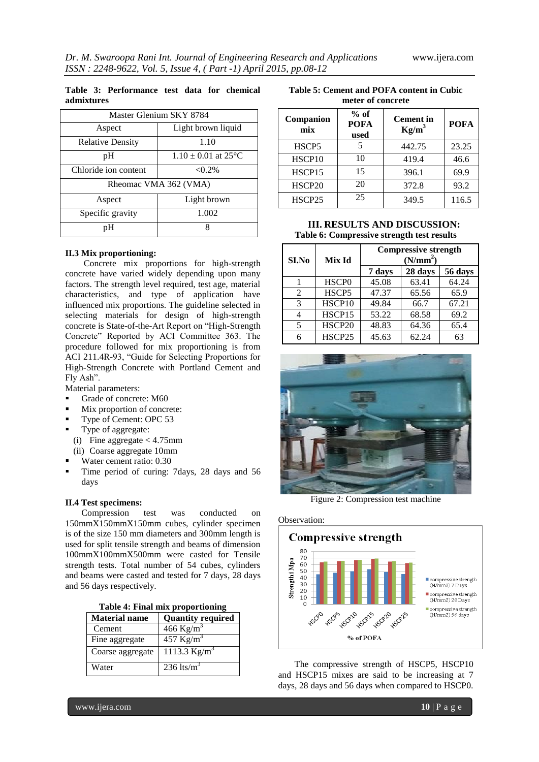### **Table 3: Performance test data for chemical admixtures**

| Master Glenium SKY 8784       |                    |  |  |
|-------------------------------|--------------------|--|--|
| Aspect                        | Light brown liquid |  |  |
| <b>Relative Density</b>       | 1.10               |  |  |
| $1.10 \pm 0.01$ at 25°C<br>pH |                    |  |  |
| Chloride ion content          | $< 0.2\%$          |  |  |
| Rheomac VMA 362 (VMA)         |                    |  |  |
| Light brown<br>Aspect         |                    |  |  |
| Specific gravity              | 1.002              |  |  |
|                               |                    |  |  |

## **II.3 Mix proportioning:**

Concrete mix proportions for high-strength concrete have varied widely depending upon many factors. The strength level required, test age, material characteristics, and type of application have influenced mix proportions. The guideline selected in selecting materials for design of high-strength concrete is State-of-the-Art Report on "High-Strength Concrete" Reported by ACI Committee 363. The procedure followed for mix proportioning is from ACI 211.4R-93, "Guide for Selecting Proportions for High-Strength Concrete with Portland Cement and Fly Ash".

Material parameters:

- Grade of concrete: M60
- Mix proportion of concrete:
- Type of Cement: OPC 53
- Type of aggregate:
- (i) Fine aggregate < 4.75mm
- (ii) Coarse aggregate 10mm
- Water cement ratio: 0.30
- Time period of curing: 7days, 28 days and 56 days

## **II.4 Test specimens:**

Compression test was conducted on 150mmX150mmX150mm cubes, cylinder specimen is of the size 150 mm diameters and 300mm length is used for split tensile strength and beams of dimension 100mmX100mmX500mm were casted for Tensile strength tests. Total number of 54 cubes, cylinders and beams were casted and tested for 7 days, 28 days and 56 days respectively.

**Table 4: Final mix proportioning**

| <b>Material name</b> | <b>Quantity required</b> |
|----------------------|--------------------------|
| Cement               | 466 Kg/m <sup>3</sup>    |
| Fine aggregate       | 457 Kg/m <sup>3</sup>    |
| Coarse aggregate     | 1113.3 $Kg/m^3$          |
| Water                | 236 lts/ $m^3$           |

**Table 5: Cement and POFA content in Cubic meter of concrete**

| Companion<br>mix   | $%$ of<br><b>POFA</b><br>used | <b>Cement</b> in<br>$Kg/m^3$ | <b>POFA</b> |
|--------------------|-------------------------------|------------------------------|-------------|
| HSCP <sub>5</sub>  |                               | 442.75                       | 23.25       |
| HSCP10             | 10                            | 419.4                        | 46.6        |
| HSCP15             | 15                            | 396.1                        | 69.9        |
| HSCP <sub>20</sub> | 20                            | 372.8                        | 93.2        |
| HSCP25             | 25                            | 349.5                        | 116.5       |

**III. RESULTS AND DISCUSSION: Table 6: Compressive strength test results**

| SI.No | Mix Id            | <b>Compressive strength</b><br>(N/mm <sup>2</sup> ) |         |         |
|-------|-------------------|-----------------------------------------------------|---------|---------|
|       |                   | 7 days                                              | 28 days | 56 days |
|       | HSCP <sub>0</sub> | 45.08                                               | 63.41   | 64.24   |
| 2     | HSCP5             | 47.37                                               | 65.56   | 65.9    |
| 3     | HSCP10            | 49.84                                               | 66.7    | 67.21   |
| 4     | HSCP15            | 53.22                                               | 68.58   | 69.2    |
| 5     | HSCP20            | 48.83                                               | 64.36   | 65.4    |
|       | HSCP25            | 45.63                                               | 62.24   | 63      |



Figure 2: Compression test machine



The compressive strength of HSCP5, HSCP10 and HSCP15 mixes are said to be increasing at 7 days, 28 days and 56 days when compared to HSCP0.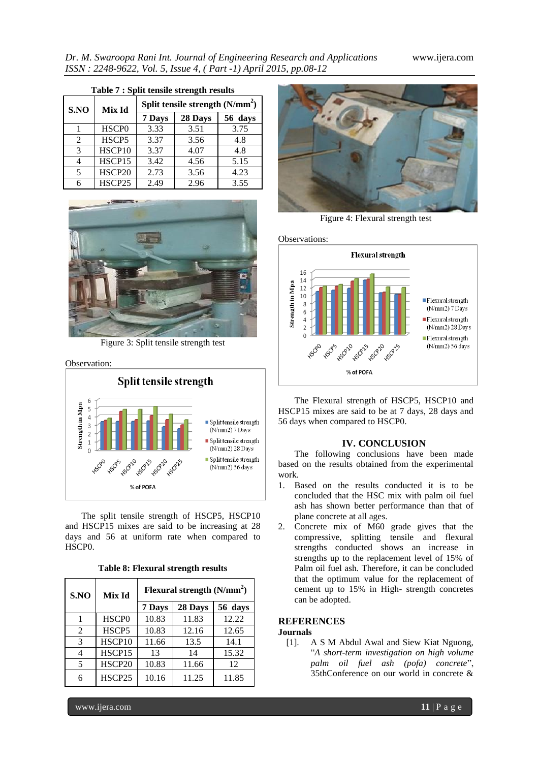*Dr. M. Swaroopa Rani Int. Journal of Engineering Research and Applications* www.ijera.com *ISSN : 2248-9622, Vol. 5, Issue 4, ( Part -1) April 2015, pp.08-12*

| Table 7 : Split tensile strength results |                   |                                  |         |         |
|------------------------------------------|-------------------|----------------------------------|---------|---------|
| S.NO                                     | Mix Id            | Split tensile strength $(N/mm2)$ |         |         |
|                                          |                   | 7 Days                           | 28 Days | 56 days |
|                                          | HSCP <sub>0</sub> | 3.33                             | 3.51    | 3.75    |
| 2                                        | HSCP5             | 3.37                             | 3.56    | 4.8     |
| 3                                        | HSCP10            | 3.37                             | 4.07    | 4.8     |
| 4                                        | HSCP15            | 3.42                             | 4.56    | 5.15    |
| 5                                        | HSCP20            | 2.73                             | 3.56    | 4.23    |
| 6                                        | HSCP25            | 2.49                             | 2.96    | 3.55    |





Figure 3: Split tensile strength test





The split tensile strength of HSCP5, HSCP10 and HSCP15 mixes are said to be increasing at 28 days and 56 at uniform rate when compared to HSCP0.

|  |  | Table 8: Flexural strength results |  |
|--|--|------------------------------------|--|
|--|--|------------------------------------|--|

| S.NO | Mix Id            | Flexural strength $(N/mm2)$ |         |         |
|------|-------------------|-----------------------------|---------|---------|
|      |                   | 7 Days                      | 28 Days | 56 days |
|      | HSCP <sub>0</sub> | 10.83                       | 11.83   | 12.22   |
| 2    | HSCP5             | 10.83                       | 12.16   | 12.65   |
| 3    | HSCP10            | 11.66                       | 13.5    | 14.1    |
| 4    | HSCP15            | 13                          | 14      | 15.32   |
| 5    | HSCP20            | 10.83                       | 11.66   | 12      |
|      | HSCP25            | 10.16                       | 11.25   | 11.85   |



Figure 4: Flexural strength test



The Flexural strength of HSCP5, HSCP10 and HSCP15 mixes are said to be at 7 days, 28 days and 56 days when compared to HSCP0.

## **IV. CONCLUSION**

The following conclusions have been made based on the results obtained from the experimental work.

- 1. Based on the results conducted it is to be concluded that the HSC mix with palm oil fuel ash has shown better performance than that of plane concrete at all ages.
- 2. Concrete mix of M60 grade gives that the compressive, splitting tensile and flexural strengths conducted shows an increase in strengths up to the replacement level of 15% of Palm oil fuel ash. Therefore, it can be concluded that the optimum value for the replacement of cement up to 15% in High- strength concretes can be adopted.

# **REFERENCES**

#### **Journals**

[1]. A S M Abdul Awal and Siew Kiat Nguong, "*A short-term investigation on high volume palm oil fuel ash (pofa) concrete*", 35thConference on our world in concrete &

www.ijera.com **11** | P a g e